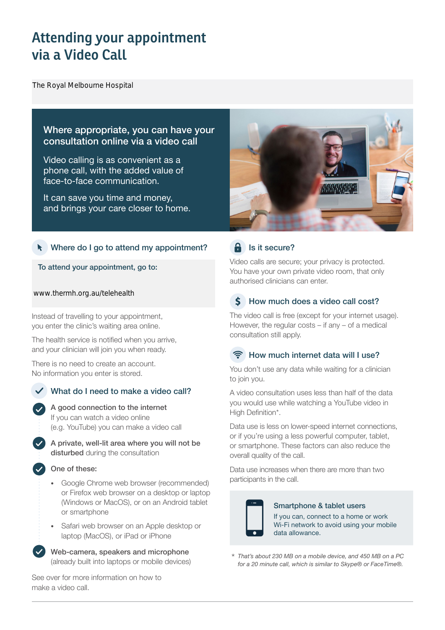# **Attending your appointment via a Video Call**

### Where appropriate, you can have your consultation online via a video call

Video calling is as convenient as a phone call, with the added value of face-to-face communication. The Royal Melbourne Hospital<br>
Where appropriate, y<br>
consultation online v<br>
Video calling is as com<br>
phone call, with the ad<br>
face-to-face communic<br>
It can save you time ar<br>
and brings your care cl<br>
A<br>
Where do I go to atte

It can save you time and money, and brings your care closer to home.

### Where do I go to attend my appointment?

To attend your appointment, go to:

Instead of travelling to your appointment, you enter the clinic's waiting area online.

The health service is notified when you arrive, and your clinician will join you when ready.

There is no need to create an account. No information you enter is stored.

### What do I need to make a video call?



A private, well-lit area where you will not be disturbed during the consultation

### One of these:

- Google Chrome web browser (recommended) or Firefox web browser on a desktop or laptop (Windows or MacOS), or on an Android tablet or smartphone
- Safari web browser on an Apple desktop or laptop (MacOS), or iPad or iPhone

Web-camera, speakers and microphone (already built into laptops or mobile devices)

See over for more information on how to make a video call.



### $\theta$  Is it secure?

Video calls are secure; your privacy is protected. You have your own private video room, that only authorised clinicians can enter.

### $\mathsf{S}$ How much does a video call cost?

The video call is free (except for your internet usage). However, the regular costs – if any – of a medical consultation still apply.

### How much internet data will I use?

You don't use any data while waiting for a clinician to join you.

A video consultation uses less than half of the data you would use while watching a YouTube video in High Definition\*.

Data use is less on lower-speed internet connections, or if you're using a less powerful computer, tablet, or smartphone. These factors can also reduce the overall quality of the call.

Data use increases when there are more than two participants in the call.



### Smartphone & tablet users

If you can, connect to a home or work Wi-Fi network to avoid using your mobile data allowance.

*That's about 230 MB on a mobile device, and 450 MB on a PC for a 20 minute call, which is similar to Skype® or FaceTime®.* \*